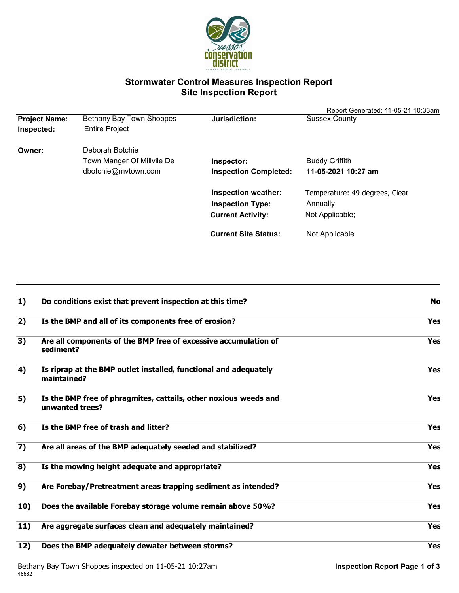

# **Stormwater Control Measures Inspection Report Site Inspection Report**

|                      | Bethany Bay Town Shoppes   | Jurisdiction:                | Report Generated: 11-05-21 10:33am |
|----------------------|----------------------------|------------------------------|------------------------------------|
| <b>Project Name:</b> |                            |                              | <b>Sussex County</b>               |
| Inspected:           | <b>Entire Project</b>      |                              |                                    |
| Owner:               | Deborah Botchie            |                              |                                    |
|                      | Town Manger Of Millvile De | Inspector:                   | <b>Buddy Griffith</b>              |
|                      | dbotchie@mvtown.com        | <b>Inspection Completed:</b> | 11-05-2021 10:27 am                |
|                      |                            | <b>Inspection weather:</b>   | Temperature: 49 degrees, Clear     |
|                      |                            | <b>Inspection Type:</b>      | Annually                           |
|                      |                            | <b>Current Activity:</b>     | Not Applicable;                    |
|                      |                            | <b>Current Site Status:</b>  | Not Applicable                     |

| 1)  | Do conditions exist that prevent inspection at this time?                           | <b>No</b>  |
|-----|-------------------------------------------------------------------------------------|------------|
| 2)  | Is the BMP and all of its components free of erosion?                               | <b>Yes</b> |
| 3)  | Are all components of the BMP free of excessive accumulation of<br>sediment?        | <b>Yes</b> |
| 4)  | Is riprap at the BMP outlet installed, functional and adequately<br>maintained?     | <b>Yes</b> |
| 5)  | Is the BMP free of phragmites, cattails, other noxious weeds and<br>unwanted trees? | <b>Yes</b> |
| 6)  | Is the BMP free of trash and litter?                                                | <b>Yes</b> |
| 7)  | Are all areas of the BMP adequately seeded and stabilized?                          | <b>Yes</b> |
| 8)  | Is the mowing height adequate and appropriate?                                      | <b>Yes</b> |
| 9)  | Are Forebay/Pretreatment areas trapping sediment as intended?                       | <b>Yes</b> |
| 10) | Does the available Forebay storage volume remain above 50%?                         | <b>Yes</b> |
| 11) | Are aggregate surfaces clean and adequately maintained?                             | <b>Yes</b> |
| 12) | Does the BMP adequately dewater between storms?                                     | <b>Yes</b> |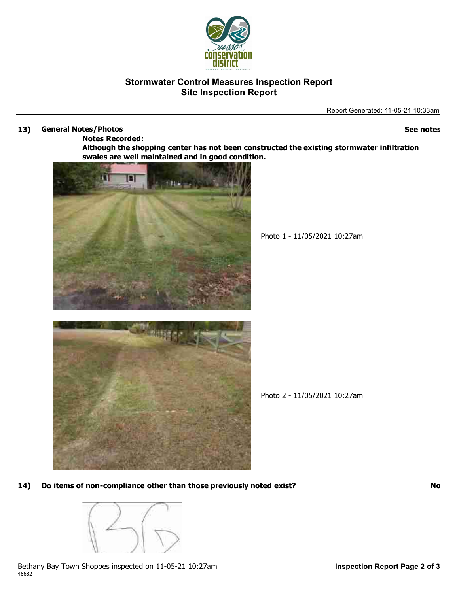

## **Stormwater Control Measures Inspection Report Site Inspection Report**

Report Generated: 11-05-21 10:33am

#### **13) General Notes/Photos See notes**

**Notes Recorded:**

**Although the shopping center has not been constructed the existing stormwater infiltration swales are well maintained and in good condition.**



Photo 1 - 11/05/2021 10:27am



Photo 2 - 11/05/2021 10:27am

**14) Do items of non-compliance other than those previously noted exist? No**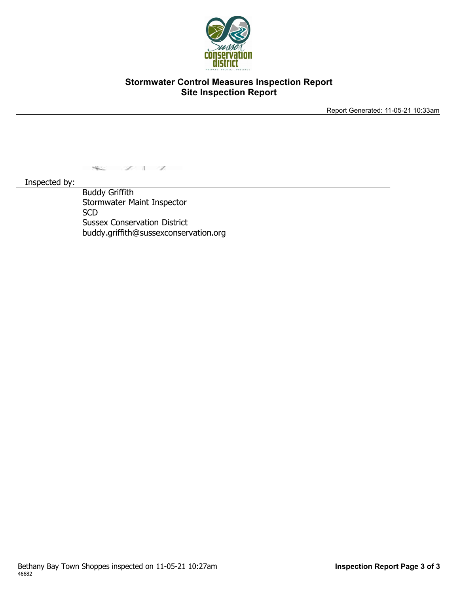

## **Stormwater Control Measures Inspection Report Site Inspection Report**

Report Generated: 11-05-21 10:33am

 $\sim$   $\sim$   $\sim$ 

Inspected by:

Buddy Griffith Stormwater Maint Inspector **SCD** Sussex Conservation District buddy.griffith@sussexconservation.org